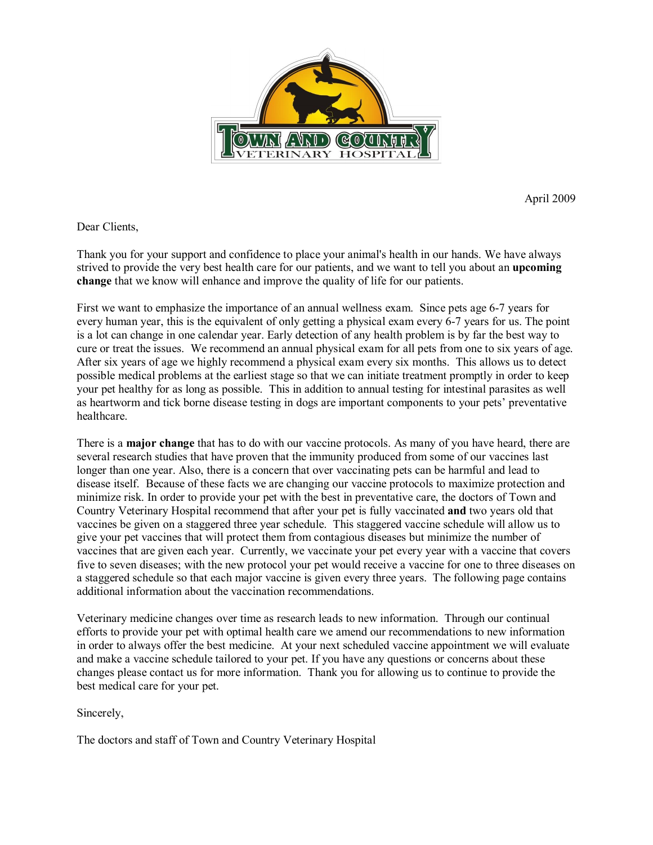

April 2009

Dear Clients,

Thank you for your support and confidence to place your animal's health in our hands. We have always strived to provide the very best health care for our patients, and we want to tell you about an **upcoming change** that we know will enhance and improve the quality of life for our patients.

First we want to emphasize the importance of an annual wellness exam. Since pets age 67 years for every human year, this is the equivalent of only getting a physical exam every 6-7 years for us. The point is a lot can change in one calendar year. Early detection of any health problem is by far the best way to cure or treat the issues. We recommend an annual physical exam forall pets from one to six years of age. After six years of age we highly recommend a physical exam every six months. This allows us to detect possible medical problems at the earliest stage so that we can initiate treatment promptly in order to keep your pet healthy for as long as possible. This in addition to annual testing for intestinal parasites as well as heartworm and tick borne disease testing in dogs are important components to your pets' preventative healthcare.

There is a **major change** that has to do with our vaccine protocols. As many of you have heard, there are several research studies that have proven that the immunity produced from some of our vaccines last longer than one year. Also, there is a concern that over vaccinating pets can be harmful and lead to disease itself. Because of these facts we are changing our vaccine protocols to maximize protection and minimize risk. In order to provide your pet with the best in preventative care, the doctors of Town and Country Veterinary Hospital recommend that after your pet is fully vaccinated **and** two years old that vaccines be given on a staggered three year schedule. This staggered vaccine schedule will allow us to give your pet vaccines that will protect them from contagious diseases but minimize the number of vaccines that are given each year. Currently, we vaccinate your pet every year with a vaccine that covers five to seven diseases; with the new protocol your pet would receive a vaccine for one to three diseases on a staggered schedule so that each major vaccine is given every three years. The following page contains additional information about the vaccination recommendations.

Veterinary medicine changes over time as research leads to new information. Through our continual efforts to provide your pet with optimal health care we amend our recommendations to new information in order to always offer the best medicine. At your next scheduled vaccine appointment we will evaluate and make a vaccine schedule tailored to your pet. If you have any questions or concerns about these changes please contact us for more information. Thank you for allowing us to continue to provide the best medical care for your pet.

Sincerely,

The doctors and staff of Town and Country Veterinary Hospital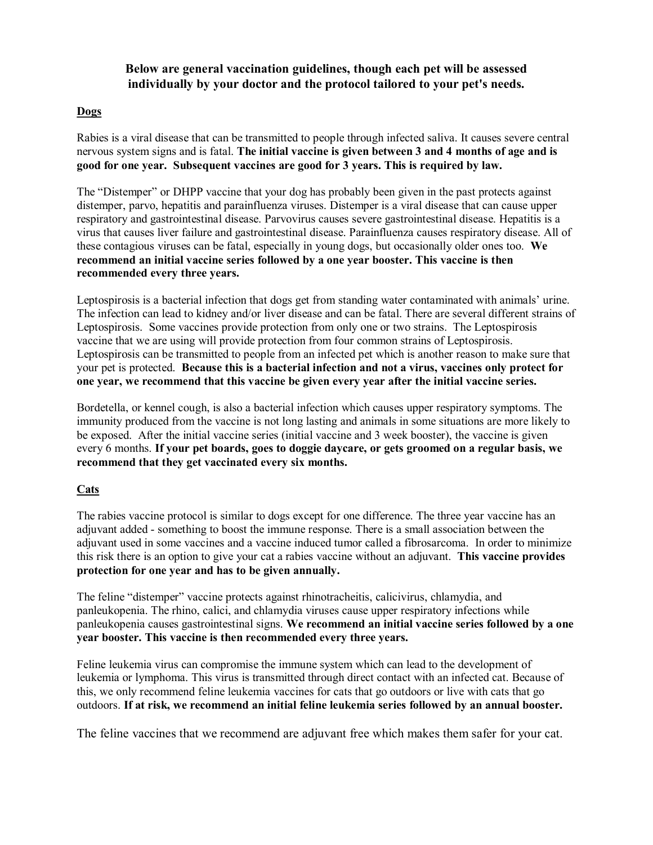**Below are general vaccination guidelines, though each pet will be assessed individually by your doctor and the protocol tailored to your pet's needs.**

### **Dogs**

Rabies is a viral disease that can be transmitted to people through infected saliva. It causes severe central nervous system signs and is fatal. **The initial vaccine is given between 3 and 4 months of age and is good for one year. Subsequent vaccines are good for 3 years. This is required by law.**

The "Distemper" or DHPP vaccine that your dog has probably been given in the past protects against distemper, parvo, hepatitis and parainfluenza viruses. Distemper is a viral disease that can cause upper respiratory and gastrointestinal disease. Parvovirus causes severe gastrointestinal disease. Hepatitis is a virus that causes liver failure and gastrointestinal disease. Parainfluenza causes respiratory disease. All of these contagious viruses can be fatal, especially in young dogs, but occasionally older ones too. **We recommend an initial vaccine series followed by a one year booster. This vaccine is then recommended every three years.**

Leptospirosis is a bacterial infection that dogs get from standing water contaminated with animals' urine. The infection can lead to kidney and/or liver disease and can be fatal. There are several different strains of Leptospirosis. Some vaccines provide protection from only one or two strains. The Leptospirosis vaccine that we are using will provide protection from four common strains of Leptospirosis. Leptospirosis can be transmitted to people from an infected pet which is another reason to make sure that your pet is protected. **Because this is a bacterial infection and not a virus, vaccines only protect for one year, we recommend that this vaccine be given every year after the initial vaccine series.**

Bordetella, or kennel cough, is also a bacterial infection which causes upper respiratory symptoms. The immunity produced from the vaccine is not long lasting and animals in some situations are more likely to be exposed. After the initial vaccine series (initial vaccine and 3 week booster), the vaccine is given every 6 months. **If your pet boards, goes to doggie daycare, or gets groomed on a regular basis, we recommend that they get vaccinated every six months.**

## **Cats**

The rabies vaccine protocol is similar to dogs except for one difference. The three year vaccine has an adjuvant added - something to boost the immune response. There is a small association between the adjuvant used in some vaccines and a vaccine induced tumor called a fibrosarcoma. In order to minimize this risk there is an option to give your cat a rabies vaccine without an adjuvant. **This vaccine provides protection for one year and has to be given annually.**

The feline "distemper" vaccine protects against rhinotracheitis, calicivirus, chlamydia, and panleukopenia. The rhino, calici, and chlamydia viruses cause upper respiratory infections while panleukopenia causes gastrointestinal signs. **We recommend an initial vaccine series followed by a one year booster. This vaccine is then recommended every three years.**

Feline leukemia virus can compromise the immune system which can lead to the development of leukemia or lymphoma. This virus is transmitted through direct contact with an infected cat. Because of this, we only recommend feline leukemia vaccines for cats that go outdoors or live with cats that go outdoors. **If at risk, we recommend an initial feline leukemia series followed by an annual booster.**

The feline vaccines that we recommend are adjuvant free which makes them safer for your cat.